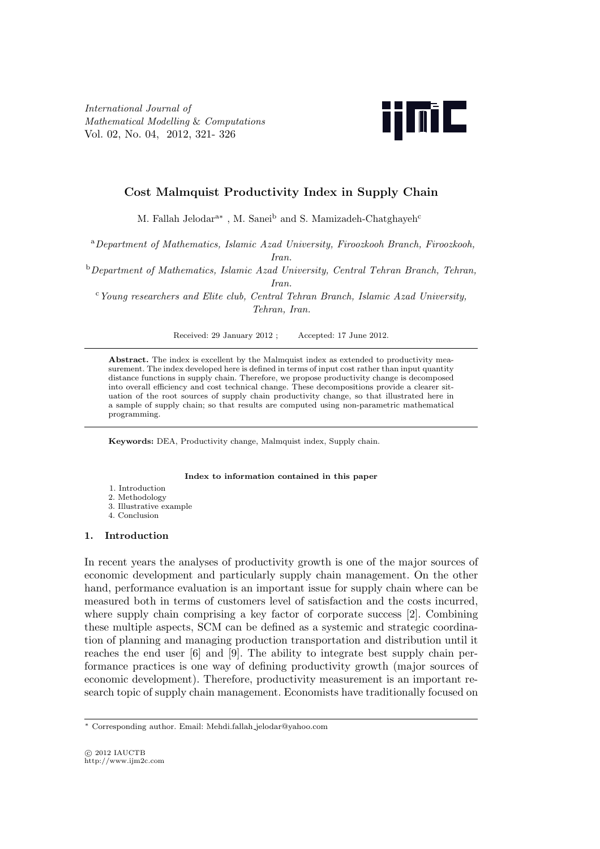*International Journal of Mathematical Modelling* & *Computations* Vol. 02, No. 04, 2012, 321- 326



# **Cost Malmquist Productivity Index in Supply Chain**

M. Fallah Jelodar<sup>a∗</sup>, M. Sanei<sup>b</sup> and S. Mamizadeh-Chatghayeh<sup>c</sup>

<sup>a</sup>*Department of Mathematics, Islamic Azad University, Firoozkooh Branch, Firoozkooh,*

*Iran.*

<sup>b</sup>*Department of Mathematics, Islamic Azad University, Central Tehran Branch, Tehran, Iran.*

<sup>c</sup>*Young researchers and Elite club, Central Tehran Branch, Islamic Azad University, Tehran, Iran.*

Received: 29 January 2012 ; Accepted: 17 June 2012.

Abstract. The index is excellent by the Malmquist index as extended to productivity measurement. The index developed here is defined in terms of input cost rather than input quantity distance functions in supply chain. Therefore, we propose productivity change is decomposed into overall efficiency and cost technical change. These decompositions provide a clearer situation of the root sources of supply chain productivity change, so that illustrated here in a sample of supply chain; so that results are computed using non-parametric mathematical programming.

**Keywords:** DEA, Productivity change, Malmquist index, Supply chain.

#### **Index to information contained in this paper**

- 1. Introduction
- 2. Methodology
- 3. Illustrative example
- 4. Conclusion

## **1. Introduction**

In recent years the analyses of productivity growth is one of the major sources of economic development and particularly supply chain management. On the other hand, performance evaluation is an important issue for supply chain where can be measured both in terms of customers level of satisfaction and the costs incurred, where supply chain comprising a key factor of corporate success [2]. Combining these multiple aspects, SCM can be defined as a systemic and strategic coordination of planning and managing production transportation and distribution until it reaches the end user [6] and [9]. The ability to integrate best supply chain performance practices is one way of defining productivity growth (major sources of economic development). Therefore, productivity measurement is an important research topic of supply chain management. Economists have traditionally focused on

*<sup>∗</sup>* Corresponding author. Email: Mehdi.fallah jelodar@yahoo.com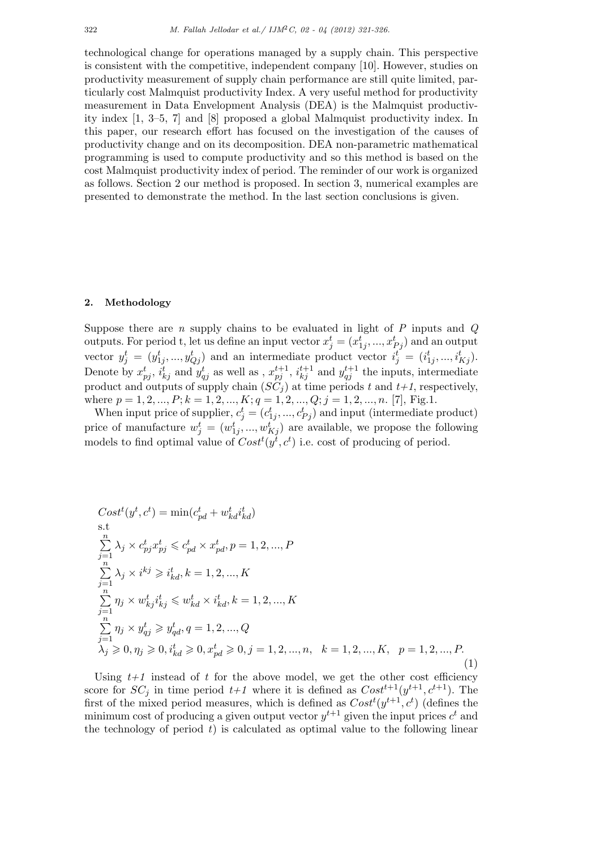technological change for operations managed by a supply chain. This perspective is consistent with the competitive, independent company [10]. However, studies on productivity measurement of supply chain performance are still quite limited, particularly cost Malmquist productivity Index. A very useful method for productivity measurement in Data Envelopment Analysis (DEA) is the Malmquist productivity index [1, 3–5, 7] and [8] proposed a global Malmquist productivity index. In this paper, our research effort has focused on the investigation of the causes of productivity change and on its decomposition. DEA non-parametric mathematical programming is used to compute productivity and so this method is based on the cost Malmquist productivity index of period. The reminder of our work is organized as follows. Section 2 our method is proposed. In section 3, numerical examples are presented to demonstrate the method. In the last section conclusions is given.

## **2. Methodology**

Suppose there are *n* supply chains to be evaluated in light of *P* inputs and *Q* outputs. For period t, let us define an input vector  $x_j^t = (x_{1j}^t, ..., x_{Pj}^t)$  and an output vector  $y_j^t = (y_{1j}^t, ..., y_{Qj}^t)$  and an intermediate product vector  $i_j^t = (i_{1j}^t, ..., i_{Kj}^t)$ . Denote by  $x_{pj}^t$ ,  $i_{kj}^t$  and  $y_{qj}^t$  as well as ,  $x_{pj}^{t+1}$ ,  $i_{kj}^{t+1}$  and  $y_{qj}^{t+1}$  the inputs, intermediate product and outputs of supply chain  $(SC_j)$  at time periods  $t$  and  $t+1$ , respectively, where  $p = 1, 2, ..., P; k = 1, 2, ..., K; q = 1, 2, ..., Q; j = 1, 2, ..., n$ . [7], Fig.1.

When input price of supplier,  $c_j^t = (c_{1j}^t, ..., c_{Pj}^t)$  and input (intermediate product) price of manufacture  $w_j^t = (w_{1j}^t, ..., w_{Kj}^t)$  are available, we propose the following models to find optimal value of  $Cost<sup>t</sup>(y<sup>t</sup>, c<sup>t</sup>)$  i.e. cost of producing of period.

$$
Cost^{t}(y^{t}, c^{t}) = \min(c_{pd}^{t} + w_{kd}^{t}i_{kd}^{t})
$$
  
s.t  

$$
\sum_{j=1}^{n} \lambda_{j} \times c_{pj}^{t}x_{pj}^{t} \leq c_{pd}^{t} \times x_{pd}^{t}, p = 1, 2, ..., P
$$
  

$$
\sum_{j=1}^{n} \lambda_{j} \times i^{kj} \geq i_{kd}^{t}, k = 1, 2, ..., K
$$
  

$$
\sum_{j=1}^{n} \eta_{j} \times w_{kj}^{t}i_{kj}^{t} \leq w_{kd}^{t} \times i_{kd}^{t}, k = 1, 2, ..., K
$$
  

$$
\sum_{j=1}^{n} \eta_{j} \times y_{qj}^{t} \geq y_{qd}^{t}, q = 1, 2, ..., Q
$$
  

$$
\lambda_{j} \geq 0, \eta_{j} \geq 0, i_{kd}^{t} \geq 0, x_{pd}^{t} \geq 0, j = 1, 2, ..., n, k = 1, 2, ..., K, p = 1, 2, ..., P.
$$
  
(1)

Using  $t+1$  instead of  $t$  for the above model, we get the other cost efficiency score for  $SC_j$  in time period  $t+1$  where it is defined as  $Cost^{t+1}(y^{t+1}, c^{t+1})$ . The first of the mixed period measures, which is defined as  $Cost<sup>t</sup>(y<sup>t+1</sup>, c<sup>t</sup>)$  (defines the minimum cost of producing a given output vector  $y^{t+1}$  given the input prices  $c^t$  and the technology of period  $t$ ) is calculated as optimal value to the following linear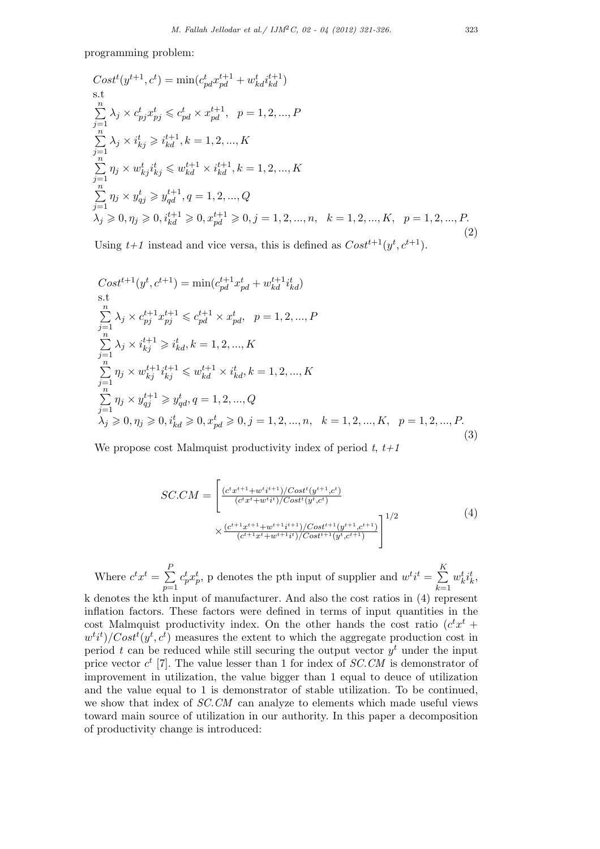programming problem:

$$
Cost^{t}(y^{t+1}, c^{t}) = \min(c_{pd}^{t}x_{pd}^{t+1} + w_{kd}^{t}i_{kd}^{t+1})
$$
  
s.t  
s.t  

$$
\sum_{j=1}^{n} \lambda_{j} \times c_{pj}^{t}x_{pj}^{t} \leq c_{pd}^{t} \times x_{pd}^{t+1}, \quad p = 1, 2, ..., P
$$

$$
\sum_{j=1}^{n} \lambda_{j} \times i_{kj}^{t} \geq i_{kd}^{t+1}, k = 1, 2, ..., K
$$

$$
\sum_{j=1}^{n} \eta_{j} \times w_{kj}^{t}i_{kj}^{t} \leq w_{kd}^{t+1} \times i_{kd}^{t+1}, k = 1, 2, ..., K
$$

$$
\sum_{j=1}^{n} \eta_{j} \times y_{qj}^{t} \geq y_{qd}^{t+1}, q = 1, 2, ..., Q
$$

$$
\lambda_{j} \geq 0, \eta_{j} \geq 0, i_{kd}^{t+1} \geq 0, x_{pd}^{t+1} \geq 0, j = 1, 2, ..., n, \quad k = 1, 2, ..., K, \quad p = 1, 2, ..., P.
$$

$$
(2)
$$

Using  $t+1$  instead and vice versa, this is defined as  $Cost^{t+1}(y^t, c^{t+1})$ .

$$
Cost^{t+1}(y^{t}, c^{t+1}) = \min(c_{pd}^{t+1}x_{pd}^{t} + w_{kd}^{t+1}i_{kd}^{t})
$$
  
s.t  

$$
\sum_{j=1}^{n} \lambda_{j} \times c_{pj}^{t+1}x_{pj}^{t+1} \leq c_{pd}^{t+1} \times x_{pd}^{t}, \quad p = 1, 2, ..., P
$$
  

$$
\sum_{j=1}^{n} \lambda_{j} \times i_{kj}^{t+1} \geq i_{kd}^{t}, k = 1, 2, ..., K
$$
  

$$
\sum_{j=1}^{n} \eta_{j} \times w_{kj}^{t+1}i_{kj}^{t+1} \leq w_{kd}^{t+1} \times i_{kd}^{t}, k = 1, 2, ..., K
$$
  

$$
\sum_{j=1}^{n} \eta_{j} \times y_{qj}^{t+1} \geq y_{qd}^{t}, q = 1, 2, ..., Q
$$
  

$$
\lambda_{j} \geq 0, \eta_{j} \geq 0, i_{kd}^{t} \geq 0, x_{pd}^{t} \geq 0, j = 1, 2, ..., n, \quad k = 1, 2, ..., K, \quad p = 1, 2, ..., P.
$$
  
(3)

We propose cost Malmquist productivity index of period *t*, *t+1*

$$
SC.CM = \left[ \frac{(c^t x^{t+1} + w^t i^{t+1}) / Cost^t (y^{t+1}, c^t)}{(c^t x^t + w^t i^t) / Cost^t (y^t, c^t)} \times \frac{(c^{t+1} x^{t+1} + w^{t+1} i^{t+1}) / Cost^{t+1} (y^{t+1}, c^{t+1})}{(c^{t+1} x^t + w^{t+1} i^t) / Cost^{t+1} (y^t, c^{t+1})} \right]^{1/2}
$$
\n
$$
(4)
$$

Where  $c^t x^t = \sum_{i=1}^{P}$ *p*=1  $c_p^t x_p^t$ , p denotes the pth input of supplier and  $w^t i^t = \sum_{i=1}^K$ *k*=1  $w_k^t i_k^t$ , k denotes the kth input of manufacturer. And also the cost ratios in (4) represent inflation factors. These factors were defined in terms of input quantities in the cost Malmquist productivity index. On the other hands the cost ratio  $(c^t x^t +$  $w^{t}i^{t}$ )/ $Cost^{t}(y^{t}, c^{t})$  measures the extent to which the aggregate production cost in period *t* can be reduced while still securing the output vector *y <sup>t</sup>* under the input price vector  $c^t$  [7]. The value lesser than 1 for index of *SC.CM* is demonstrator of improvement in utilization, the value bigger than 1 equal to deuce of utilization and the value equal to 1 is demonstrator of stable utilization. To be continued, we show that index of *SC.CM* can analyze to elements which made useful views toward main source of utilization in our authority. In this paper a decomposition of productivity change is introduced: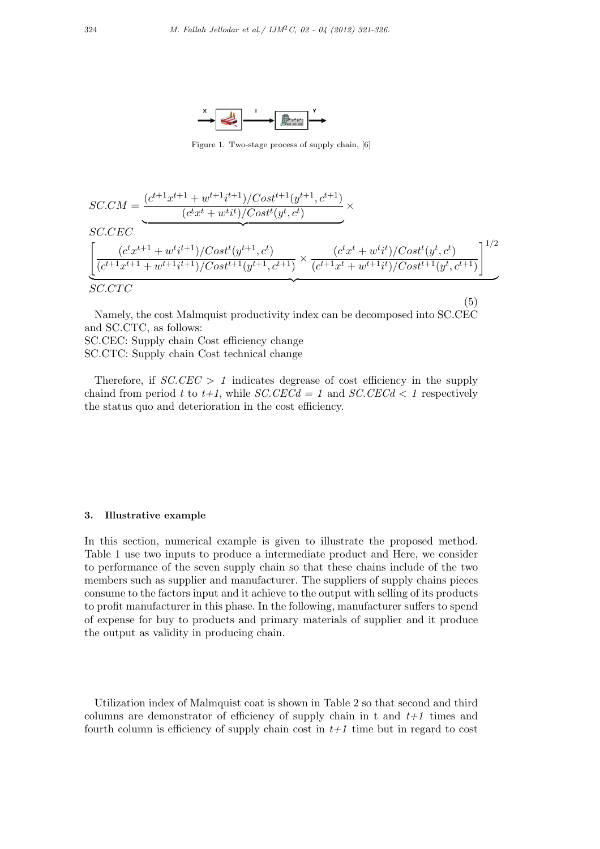

Figure 1. Two-stage process of supply chain, [6]

$$
SC.CM = \underbrace{\frac{(c^{t+1}x^{t+1} + w^{t+1}i^{t+1})/Cost^{t+1}(y^{t+1}, c^{t+1})}{(c^tx^t + w^ti^t)/Cost^t(y^t, c^t)} \times}
$$
\n
$$
SC.CEC
$$
\n
$$
\left[ \frac{(c^tx^{t+1} + w^ti^{t+1})/Cost^t(y^{t+1}, c^t)}{(c^{t+1}x^{t+1} + w^{t+1}i^{t+1})/Cost^{t+1}(y^{t+1}, c^{t+1})} \times \frac{(c^tx^t + w^ti^t)/Cost^t(y^t, c^t)}{(c^{t+1}x^t + w^{t+1}i^t)/Cost^{t+1}(y^t, c^{t+1})} \right]^{1/2}
$$
\n
$$
SC.CTC
$$

(5)

Namely, the cost Malmquist productivity index can be decomposed into SC.CEC and SC.CTC, as follows: SC.CEC: Supply chain Cost efficiency change SC.CTC: Supply chain Cost technical change

Therefore, if *SC.CEC > 1* indicates degrease of cost efficiency in the supply chaind from period t to  $t+1$ , while *SC.CECd* = 1 and *SC.CECd* < 1 respectively the status quo and deterioration in the cost efficiency.

## **3. Illustrative example**

In this section, numerical example is given to illustrate the proposed method. Table 1 use two inputs to produce a intermediate product and Here, we consider to performance of the seven supply chain so that these chains include of the two members such as supplier and manufacturer. The suppliers of supply chains pieces consume to the factors input and it achieve to the output with selling of its products to profit manufacturer in this phase. In the following, manufacturer suffers to spend of expense for buy to products and primary materials of supplier and it produce the output as validity in producing chain.

Utilization index of Malmquist coat is shown in Table 2 so that second and third columns are demonstrator of efficiency of supply chain in t and  $t+1$  times and fourth column is efficiency of supply chain cost in  $t+1$  time but in regard to cost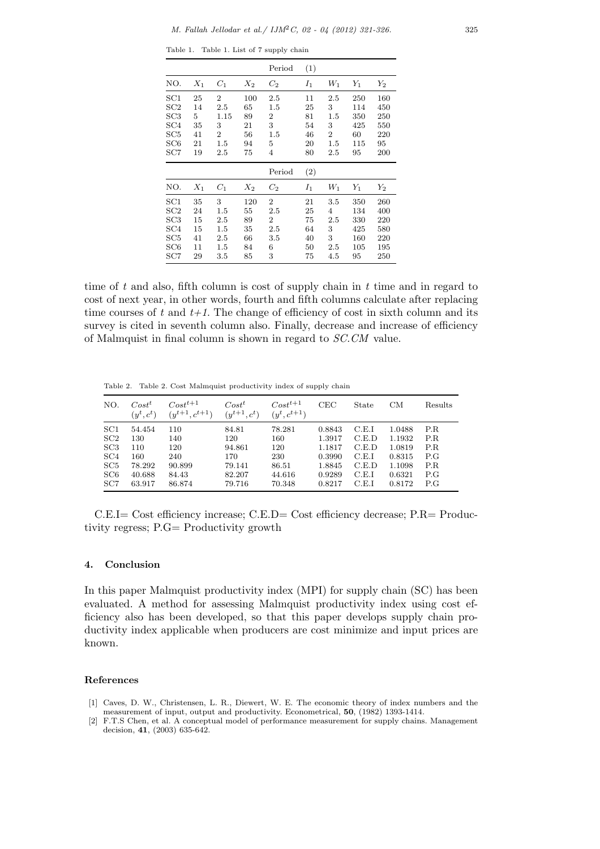Table 1. Table 1. List of 7 supply chain

|                           |                                                      |                             | Period                          | (1)                        |                                            |                                |                                       |
|---------------------------|------------------------------------------------------|-----------------------------|---------------------------------|----------------------------|--------------------------------------------|--------------------------------|---------------------------------------|
| $X_1$                     | $C_1$                                                | $X_2$                       | $C_2$                           | $I_1$                      | $W_1$                                      | $Y_1$                          | $\scriptstyle Y_2$                    |
| 25<br>14<br>5<br>35<br>41 | $\overline{2}$<br>2.5<br>1.15<br>3<br>$\overline{2}$ | 100<br>65<br>89<br>21<br>56 | 2.5<br>1.5<br>2<br>3<br>$1.5\,$ | 11<br>25<br>81<br>54<br>46 | $2.5\,$<br>3<br>1.5<br>3<br>$\overline{2}$ | 250<br>114<br>350<br>425<br>60 | 160<br>450<br>250<br>550<br>220<br>95 |
| 19                        | 2.5                                                  | 75                          | 4<br>Period                     | 80                         | 2.5                                        | 95                             | 200                                   |
|                           |                                                      |                             |                                 |                            |                                            |                                |                                       |
| $X_1$                     | $C_1$                                                | $X_2$                       | $C_2$                           | $I_1$                      | $W_1$                                      | $Y_1$                          | $\scriptstyle Y_2$                    |
|                           | 21                                                   | 1.5                         | 94                              | 5                          | 20<br>(2)                                  | 1.5                            | 115                                   |

time of *t* and also, fifth column is cost of supply chain in *t* time and in regard to cost of next year, in other words, fourth and fifth columns calculate after replacing time courses of  $t$  and  $t+1$ . The change of efficiency of cost in sixth column and its survey is cited in seventh column also. Finally, decrease and increase of efficiency of Malmquist in final column is shown in regard to *SC.CM* value.

Table 2. Table 2. Cost Malmquist productivity index of supply chain

| NO. | Cost <sup>t</sup><br>$(y^t, c^t)$ | $Cost^{t+1}$<br>$(y^{t+1}, c^{t+1})$ | $Cost^t$<br>$(y^{t+1}, c^t)$ | $Cost^{t+1}$<br>$(y^t, c^{t+1})$ | CEC    | State | CМ     | Results |
|-----|-----------------------------------|--------------------------------------|------------------------------|----------------------------------|--------|-------|--------|---------|
| SC1 | 54.454                            | 110                                  | 84.81                        | 78.281                           | 0.8843 | C.E.I | 1.0488 | P.R.    |
| SC2 | 130                               | 140                                  | 120                          | 160                              | 1.3917 | C.E.D | 1.1932 | P.R     |
| SC3 | 110                               | 120                                  | 94.861                       | 120                              | 1.1817 | C.E.D | 1.0819 | P.R.    |
| SC4 | 160                               | 240                                  | 170                          | 230                              | 0.3990 | C.E.I | 0.8315 | P.G     |
| SC5 | 78.292                            | 90.899                               | 79.141                       | 86.51                            | 1.8845 | C.E.D | 1.1098 | P.R     |
| SC6 | 40.688                            | 84.43                                | 82.207                       | 44.616                           | 0.9289 | C.E.I | 0.6321 | P.G     |
| SC7 | 63.917                            | 86.874                               | 79.716                       | 70.348                           | 0.8217 | C.E.I | 0.8172 | P.G     |

C.E.I= Cost efficiency increase; C.E.D= Cost efficiency decrease; P.R= Productivity regress; P.G= Productivity growth

#### **4. Conclusion**

In this paper Malmquist productivity index (MPI) for supply chain (SC) has been evaluated. A method for assessing Malmquist productivity index using cost efficiency also has been developed, so that this paper develops supply chain productivity index applicable when producers are cost minimize and input prices are known.

#### **References**

- [1] Caves, D. W., Christensen, L. R., Diewert, W. E. The economic theory of index numbers and the measurement of input, output and productivity. Econometrical, **50**, (1982) 1393-1414.
- [2] F.T.S Chen, et al. A conceptual model of performance measurement for supply chains. Management decision, **41**, (2003) 635-642.